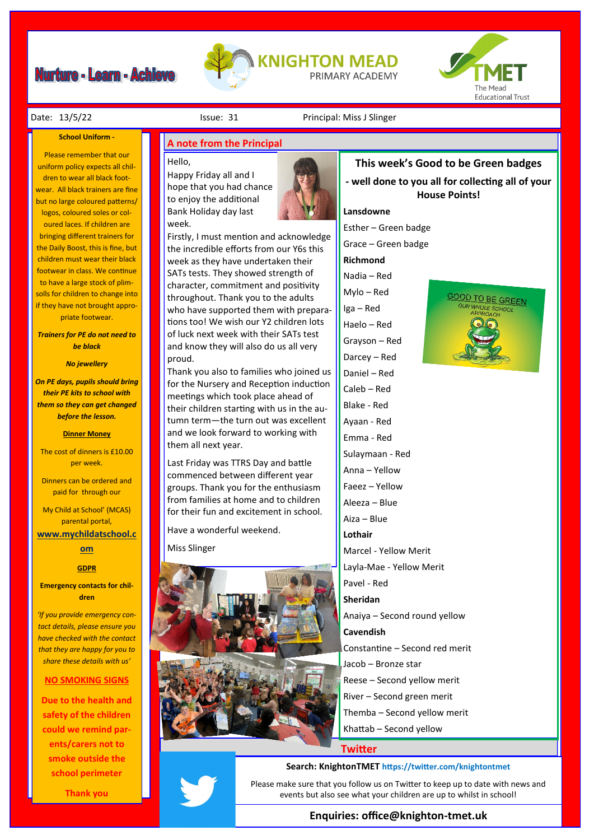# **Nurture - Learn - Achieve**





### **School Uniform -**

Please remember that our uniform policy expects all children to wear all black footwear. All black trainers are fine but no large coloured patterns/ logos, coloured soles or coloured laces. If children are bringing different trainers for the Daily Boost, this is fine, but children must wear their black footwear in class. We continue to have a large stock of plimsolls for children to change into if they have not brought appropriate footwear.

*Trainers for PE do not need to be black*

## *No jewellery*

*On PE days, pupils should bring their PE kits to school with them so they can get changed before the lesson.*

## **Dinner Money**

The cost of dinners is £10.00 per week.

Dinners can be ordered and paid for through our

My Child at School' (MCAS) parental portal,

**[www.mychildatschool.c](http://www.mychildatschool.com/)**

# **[om](http://www.mychildatschool.com/)**

# **GDPR**

**Emergency contacts for children**

*'If you provide emergency contact details, please ensure you have checked with the contact that they are happy for you to share these details with us'*

## **NO SMOKING SIGNS**

**Due to the health and safety of the children could we remind parents/carers not to smoke outside the school perimeter** 

**Thank you**

## Date: 13/5/22 **Issue: 31** Principal: Miss J Slinger

# **A note from the Principal**

#### Hello,

Happy Friday all and I hope that you had chance to enjoy the additional Bank Holiday day last week.



Firstly, I must mention and acknowledge the incredible efforts from our Y6s this week as they have undertaken their SATs tests. They showed strength of character, commitment and positivity throughout. Thank you to the adults who have supported them with preparations too! We wish our Y2 children lots of luck next week with their SATs test and know they will also do us all very proud.

Thank you also to families who joined us for the Nursery and Reception induction meetings which took place ahead of their children starting with us in the autumn term—the turn out was excellent and we look forward to working with them all next year.

Last Friday was TTRS Day and battle commenced between different year groups. Thank you for the enthusiasm from families at home and to children for their fun and excitement in school.

Have a wonderful weekend.

Miss Slinger



# **This week's Good to be Green badges - well done to you all for collecting all of your House Points!**

# **Lansdowne**

Esther – Green badge

Grace – Green badge

**Richmond**

- Nadia Red
- Mylo Red
- Iga Red
- Haelo Red
- Grayson Red
- Darcey Red
- Daniel Red
- Caleb Red
- Blake Red
- Ayaan Red
- Emma Red
- Sulaymaan Red Anna – Yellow
- Faeez Yellow
- Aleeza Blue
- Aiza Blue
- **Lothair**
- Marcel Yellow Merit
- Layla-Mae Yellow Merit
- Pavel Red

**Sheridan**

- Anaiya Second round yellow
- **Cavendish** Constantine – Second red merit
- Jacob Bronze star
- Reese Second yellow merit
- River Second green merit
- Themba Second yellow merit
- Khattab Second yellow

**Twitter**

## **Search: KnightonTMET https://twitter.com/knightontmet**

Please make sure that you follow us on Twitter to keep up to date with news and events but also see what your children are up to whilst in school!

# **Enquiries: office@knighton-tmet.uk**

OOD TO BE GREEN